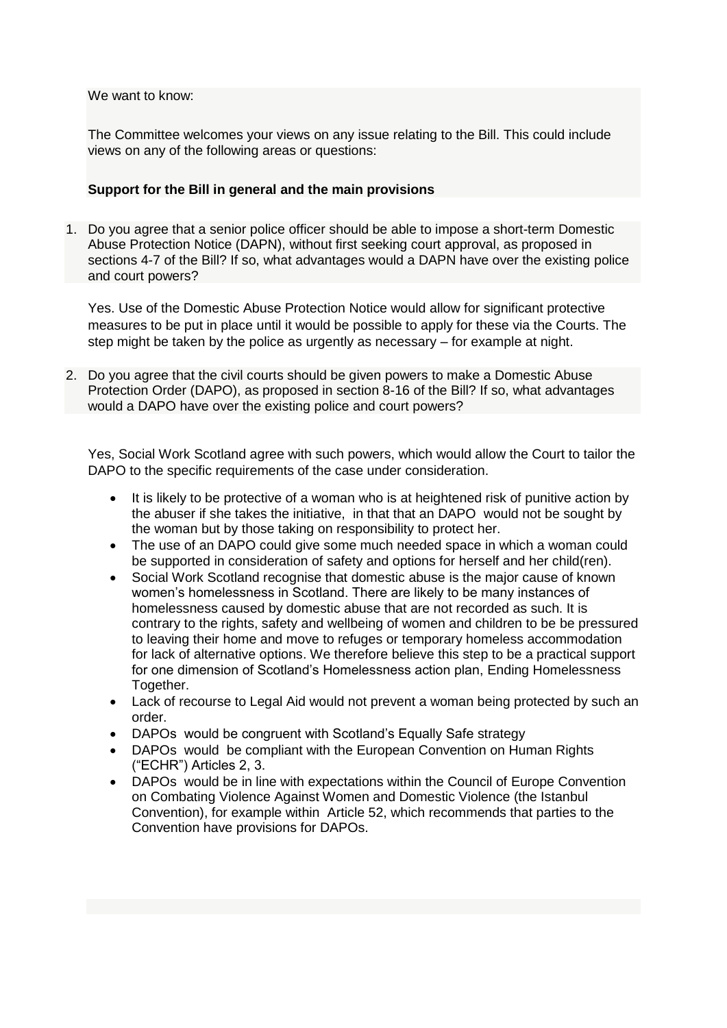### We want to know:

The Committee welcomes your views on any issue relating to the Bill. This could include views on any of the following areas or questions:

## **Support for the Bill in general and the main provisions**

1. Do you agree that a senior police officer should be able to impose a short-term Domestic Abuse Protection Notice (DAPN), without first seeking court approval, as proposed in sections 4-7 of the Bill? If so, what advantages would a DAPN have over the existing police and court powers?

Yes. Use of the Domestic Abuse Protection Notice would allow for significant protective measures to be put in place until it would be possible to apply for these via the Courts. The step might be taken by the police as urgently as necessary – for example at night.

2. Do you agree that the civil courts should be given powers to make a Domestic Abuse Protection Order (DAPO), as proposed in section 8-16 of the Bill? If so, what advantages would a DAPO have over the existing police and court powers?

Yes, Social Work Scotland agree with such powers, which would allow the Court to tailor the DAPO to the specific requirements of the case under consideration.

- It is likely to be protective of a woman who is at heightened risk of punitive action by the abuser if she takes the initiative, in that that an DAPO would not be sought by the woman but by those taking on responsibility to protect her.
- The use of an DAPO could give some much needed space in which a woman could be supported in consideration of safety and options for herself and her child(ren).
- Social Work Scotland recognise that domestic abuse is the major cause of known women's homelessness in Scotland. There are likely to be many instances of homelessness caused by domestic abuse that are not recorded as such. It is contrary to the rights, safety and wellbeing of women and children to be be pressured to leaving their home and move to refuges or temporary homeless accommodation for lack of alternative options. We therefore believe this step to be a practical support for one dimension of Scotland's Homelessness action plan, Ending Homelessness Together.
- Lack of recourse to Legal Aid would not prevent a woman being protected by such an order.
- DAPOs would be congruent with Scotland's Equally Safe strategy
- DAPOs would be compliant with the European Convention on Human Rights ("ECHR") Articles 2, 3.
- DAPOs would be in line with expectations within the Council of Europe Convention on Combating Violence Against Women and Domestic Violence (the Istanbul Convention), for example within Article 52, which recommends that parties to the Convention have provisions for DAPOs.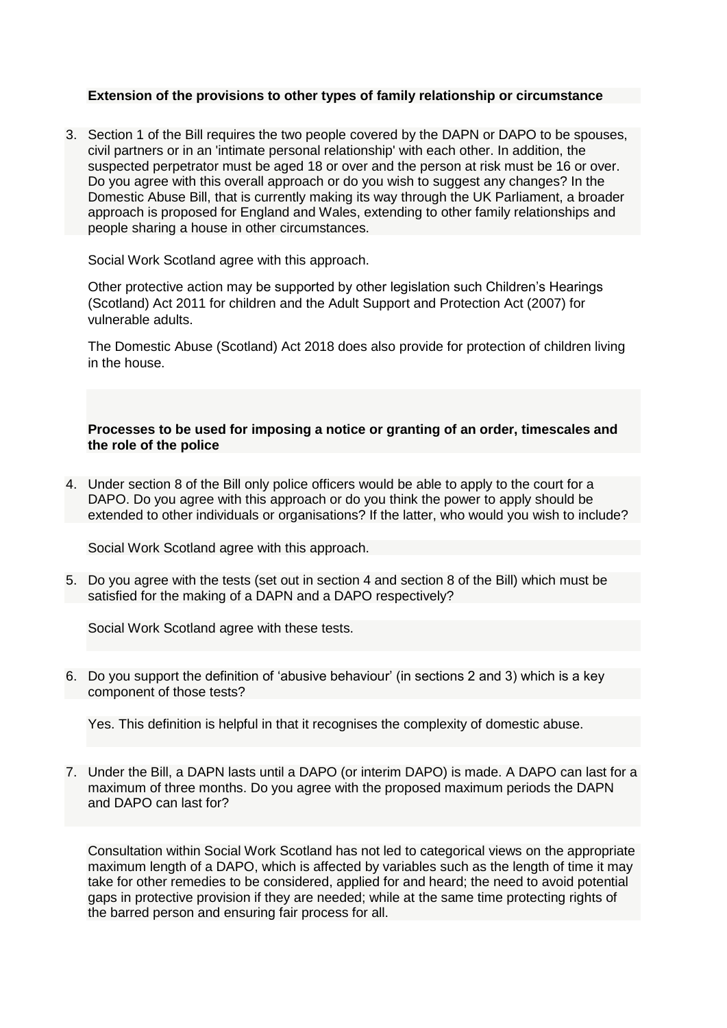#### **Extension of the provisions to other types of family relationship or circumstance**

3. Section 1 of the Bill requires the two people covered by the DAPN or DAPO to be spouses, civil partners or in an 'intimate personal relationship' with each other. In addition, the suspected perpetrator must be aged 18 or over and the person at risk must be 16 or over. Do you agree with this overall approach or do you wish to suggest any changes? In the Domestic Abuse Bill, that is currently making its way through the UK Parliament, a broader approach is proposed for England and Wales, extending to other family relationships and people sharing a house in other circumstances.

Social Work Scotland agree with this approach.

Other protective action may be supported by other legislation such Children's Hearings (Scotland) Act 2011 for children and the Adult Support and Protection Act (2007) for vulnerable adults.

The Domestic Abuse (Scotland) Act 2018 does also provide for protection of children living in the house.

**Processes to be used for imposing a notice or granting of an order, timescales and the role of the police**

4. Under section 8 of the Bill only police officers would be able to apply to the court for a DAPO. Do you agree with this approach or do you think the power to apply should be extended to other individuals or organisations? If the latter, who would you wish to include?

Social Work Scotland agree with this approach.

5. Do you agree with the tests (set out in section 4 and section 8 of the Bill) which must be satisfied for the making of a DAPN and a DAPO respectively?

Social Work Scotland agree with these tests.

6. Do you support the definition of 'abusive behaviour' (in sections 2 and 3) which is a key component of those tests?

Yes. This definition is helpful in that it recognises the complexity of domestic abuse.

7. Under the Bill, a DAPN lasts until a DAPO (or interim DAPO) is made. A DAPO can last for a maximum of three months. Do you agree with the proposed maximum periods the DAPN and DAPO can last for?

Consultation within Social Work Scotland has not led to categorical views on the appropriate maximum length of a DAPO, which is affected by variables such as the length of time it may take for other remedies to be considered, applied for and heard; the need to avoid potential gaps in protective provision if they are needed; while at the same time protecting rights of the barred person and ensuring fair process for all.